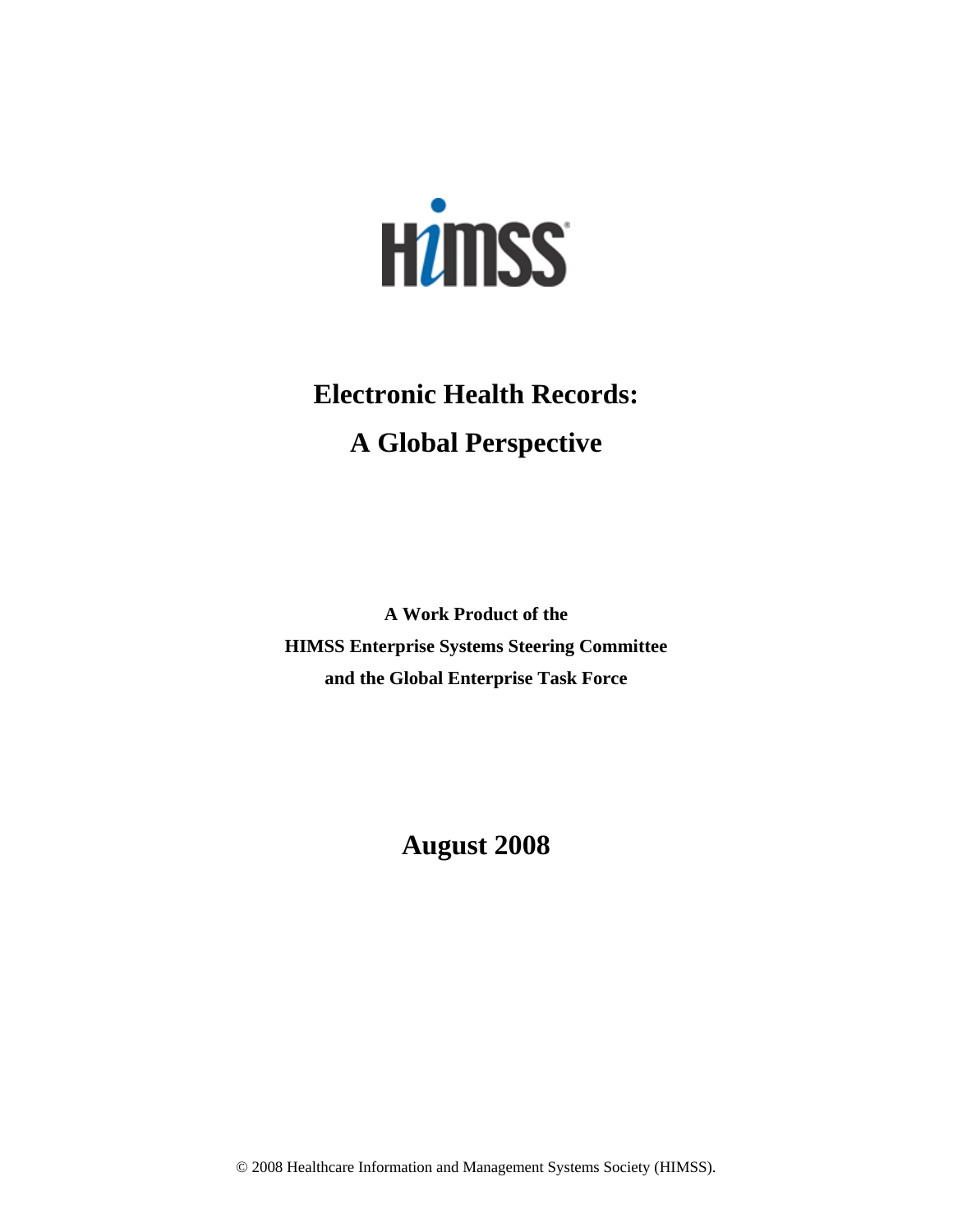

# **Electronic Health Records: A Global Perspective**

**A Work Product of the HIMSS Enterprise Systems Steering Committee and the Global Enterprise Task Force** 

# **August 2008**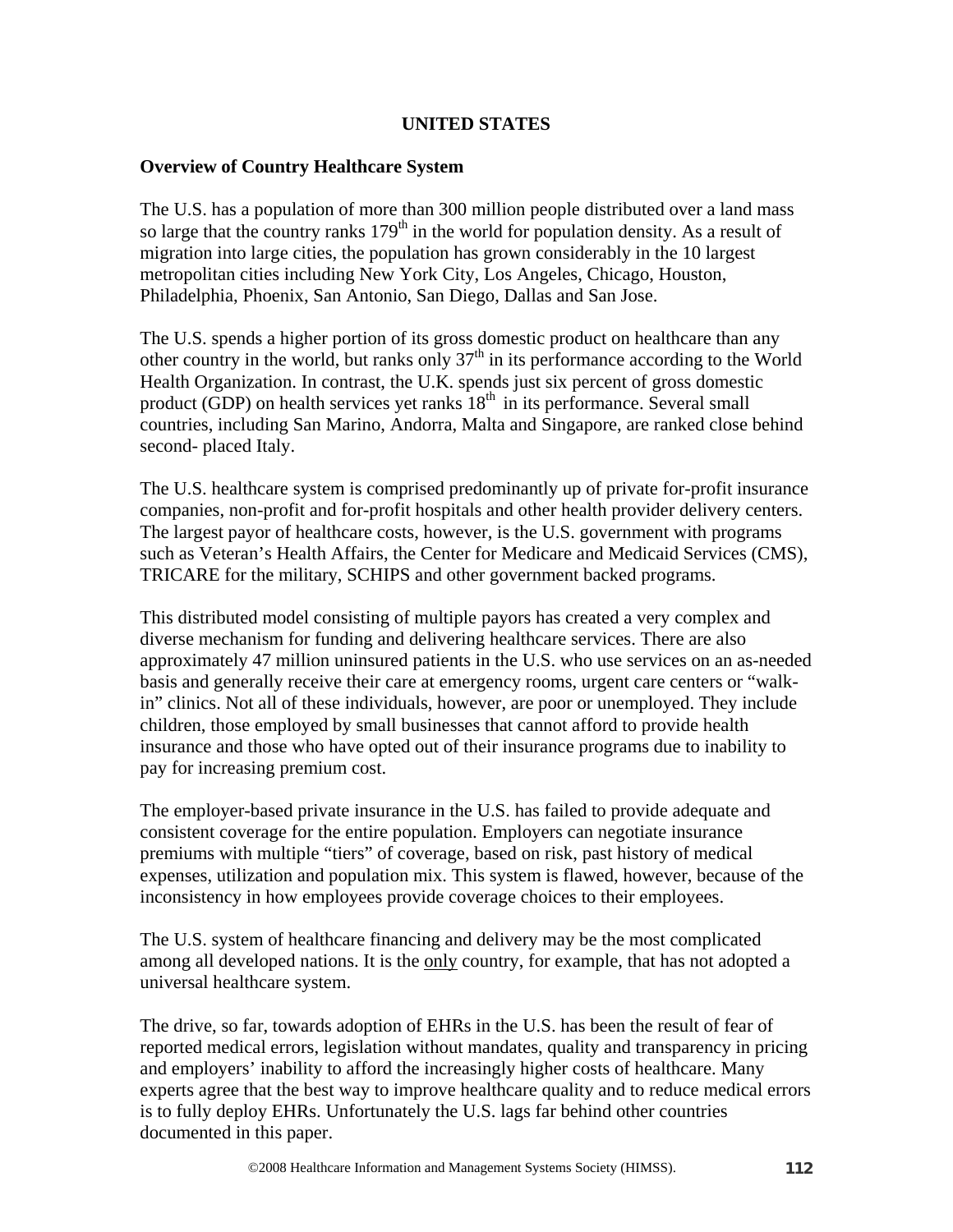# **UNITED STATES**

#### **Overview of Country Healthcare System**

The U.S. has a population of more than 300 million people distributed over a land mass so large that the country ranks  $179<sup>th</sup>$  in the world for population density. As a result of migration into large cities, the population has grown considerably in the 10 largest metropolitan cities including New York City, Los Angeles, Chicago, Houston, Philadelphia, Phoenix, San Antonio, San Diego, Dallas and San Jose.

The U.S. spends a higher portion of its gross domestic product on healthcare than any other country in the world, but ranks only  $37<sup>th</sup>$  in its performance according to the World Health Organization. In contrast, the U.K. spends just six percent of gross domestic product (GDP) on health services yet ranks  $18<sup>th</sup>$  in its performance. Several small countries, including San Marino, Andorra, Malta and Singapore, are ranked close behind second- placed Italy.

The U.S. healthcare system is comprised predominantly up of private for-profit insurance companies, non-profit and for-profit hospitals and other health provider delivery centers. The largest payor of healthcare costs, however, is the U.S. government with programs such as Veteran's Health Affairs, the Center for Medicare and Medicaid Services (CMS), TRICARE for the military, SCHIPS and other government backed programs.

This distributed model consisting of multiple payors has created a very complex and diverse mechanism for funding and delivering healthcare services. There are also approximately 47 million uninsured patients in the U.S. who use services on an as-needed basis and generally receive their care at emergency rooms, urgent care centers or "walkin" clinics. Not all of these individuals, however, are poor or unemployed. They include children, those employed by small businesses that cannot afford to provide health insurance and those who have opted out of their insurance programs due to inability to pay for increasing premium cost.

The employer-based private insurance in the U.S. has failed to provide adequate and consistent coverage for the entire population. Employers can negotiate insurance premiums with multiple "tiers" of coverage, based on risk, past history of medical expenses, utilization and population mix. This system is flawed, however, because of the inconsistency in how employees provide coverage choices to their employees.

The U.S. system of healthcare financing and delivery may be the most complicated among all developed nations. It is the only country, for example, that has not adopted a universal healthcare system.

The drive, so far, towards adoption of EHRs in the U.S. has been the result of fear of reported medical errors, legislation without mandates, quality and transparency in pricing and employers' inability to afford the increasingly higher costs of healthcare. Many experts agree that the best way to improve healthcare quality and to reduce medical errors is to fully deploy EHRs. Unfortunately the U.S. lags far behind other countries documented in this paper.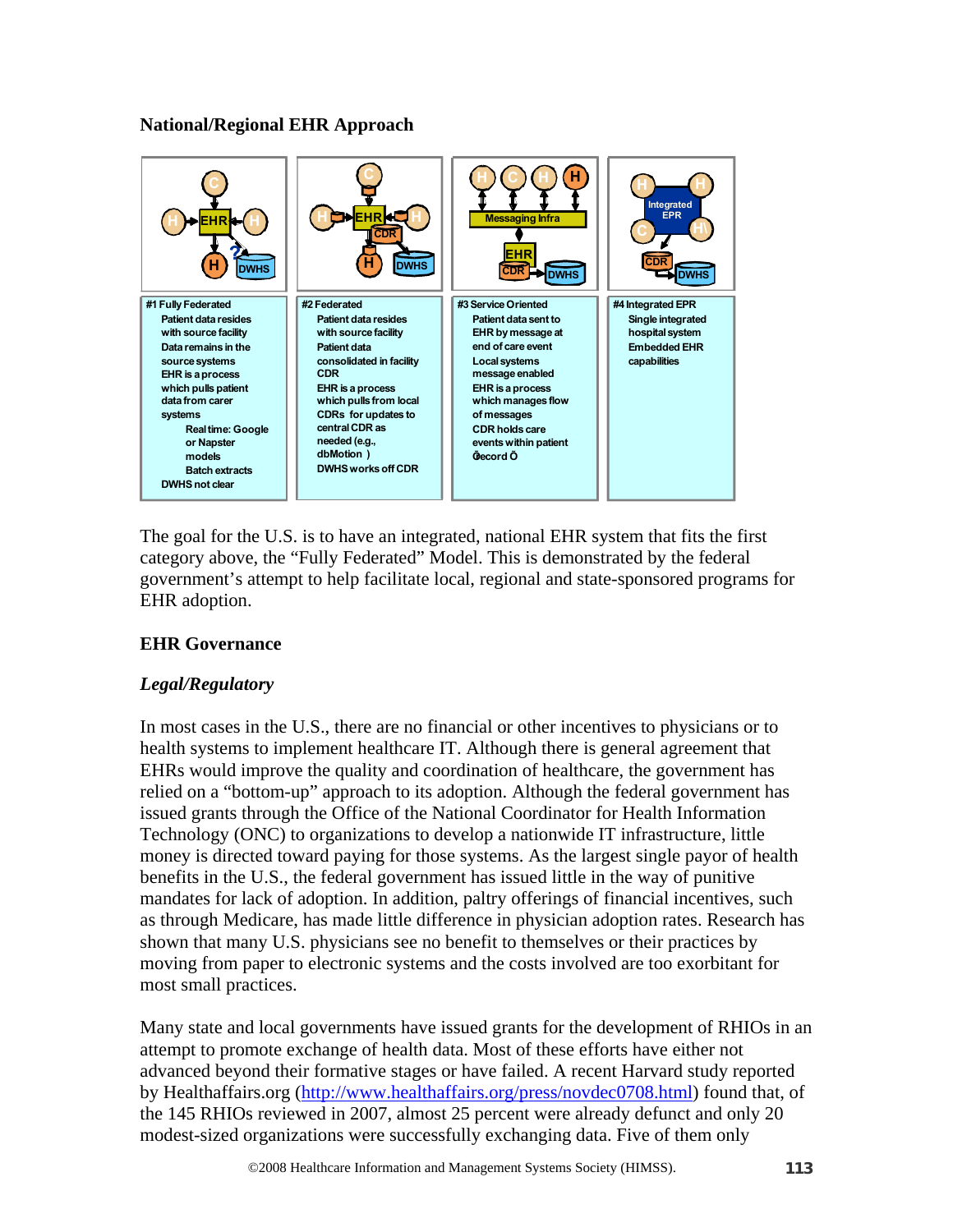# **National/Regional EHR Approach**



The goal for the U.S. is to have an integrated, national EHR system that fits the first category above, the "Fully Federated" Model. This is demonstrated by the federal government's attempt to help facilitate local, regional and state-sponsored programs for EHR adoption.

# **EHR Governance**

# *Legal/Regulatory*

In most cases in the U.S., there are no financial or other incentives to physicians or to health systems to implement healthcare IT. Although there is general agreement that EHRs would improve the quality and coordination of healthcare, the government has relied on a "bottom-up" approach to its adoption. Although the federal government has issued grants through the Office of the National Coordinator for Health Information Technology (ONC) to organizations to develop a nationwide IT infrastructure, little money is directed toward paying for those systems. As the largest single payor of health benefits in the U.S., the federal government has issued little in the way of punitive mandates for lack of adoption. In addition, paltry offerings of financial incentives, such as through Medicare, has made little difference in physician adoption rates. Research has shown that many U.S. physicians see no benefit to themselves or their practices by moving from paper to electronic systems and the costs involved are too exorbitant for most small practices.

Many state and local governments have issued grants for the development of RHIOs in an attempt to promote exchange of health data. Most of these efforts have either not advanced beyond their formative stages or have failed. A recent Harvard study reported by Healthaffairs.org (http://www.healthaffairs.org/press/novdec0708.html) found that, of the 145 RHIOs reviewed in 2007, almost 25 percent were already defunct and only 20 modest-sized organizations were successfully exchanging data. Five of them only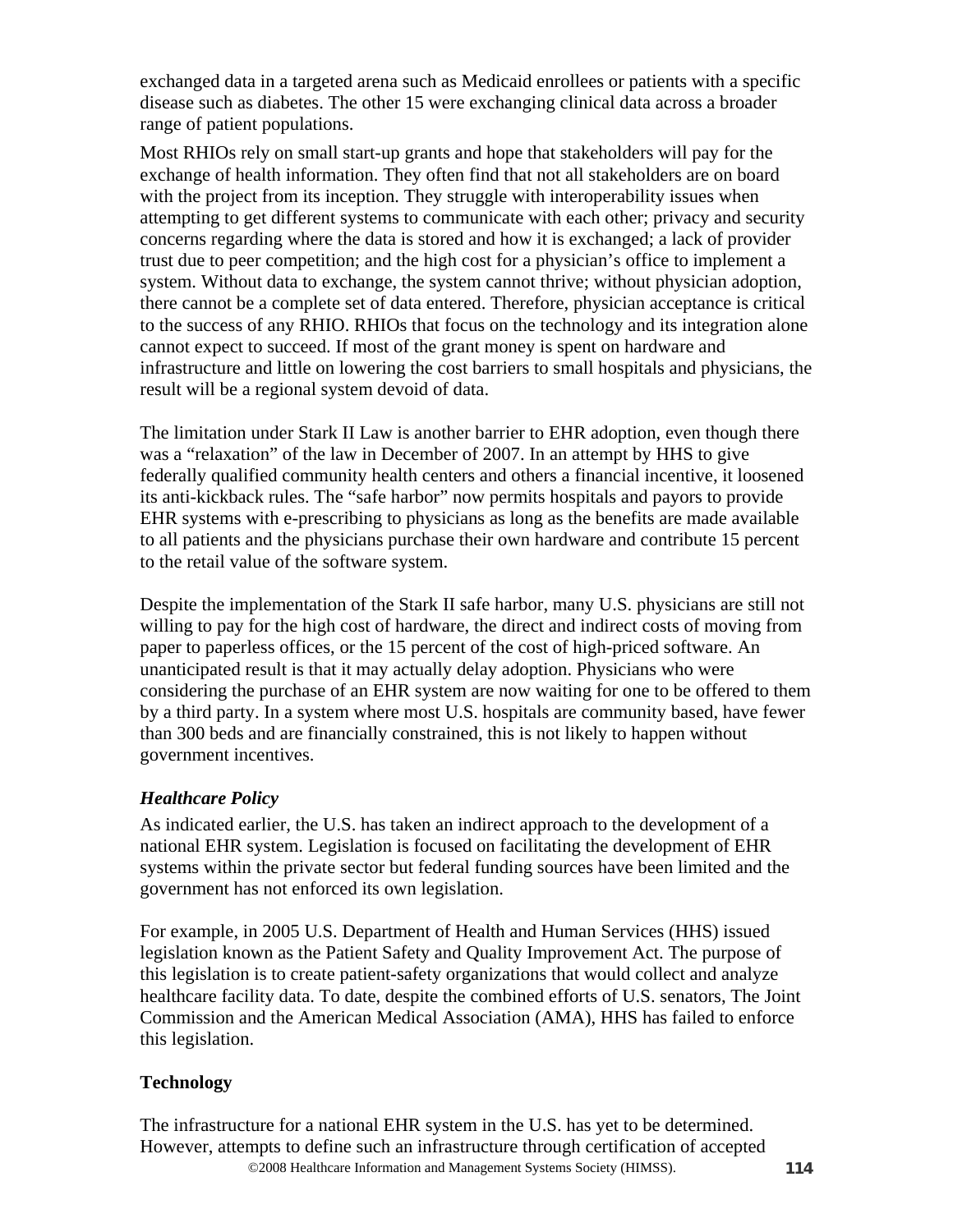exchanged data in a targeted arena such as Medicaid enrollees or patients with a specific disease such as diabetes. The other 15 were exchanging clinical data across a broader range of patient populations.

Most RHIOs rely on small start-up grants and hope that stakeholders will pay for the exchange of health information. They often find that not all stakeholders are on board with the project from its inception. They struggle with interoperability issues when attempting to get different systems to communicate with each other; privacy and security concerns regarding where the data is stored and how it is exchanged; a lack of provider trust due to peer competition; and the high cost for a physician's office to implement a system. Without data to exchange, the system cannot thrive; without physician adoption, there cannot be a complete set of data entered. Therefore, physician acceptance is critical to the success of any RHIO. RHIOs that focus on the technology and its integration alone cannot expect to succeed. If most of the grant money is spent on hardware and infrastructure and little on lowering the cost barriers to small hospitals and physicians, the result will be a regional system devoid of data.

The limitation under Stark II Law is another barrier to EHR adoption, even though there was a "relaxation" of the law in December of 2007. In an attempt by HHS to give federally qualified community health centers and others a financial incentive, it loosened its anti-kickback rules. The "safe harbor" now permits hospitals and payors to provide EHR systems with e-prescribing to physicians as long as the benefits are made available to all patients and the physicians purchase their own hardware and contribute 15 percent to the retail value of the software system.

Despite the implementation of the Stark II safe harbor, many U.S. physicians are still not willing to pay for the high cost of hardware, the direct and indirect costs of moving from paper to paperless offices, or the 15 percent of the cost of high-priced software. An unanticipated result is that it may actually delay adoption. Physicians who were considering the purchase of an EHR system are now waiting for one to be offered to them by a third party. In a system where most U.S. hospitals are community based, have fewer than 300 beds and are financially constrained, this is not likely to happen without government incentives.

# *Healthcare Policy*

As indicated earlier, the U.S. has taken an indirect approach to the development of a national EHR system. Legislation is focused on facilitating the development of EHR systems within the private sector but federal funding sources have been limited and the government has not enforced its own legislation.

For example, in 2005 U.S. Department of Health and Human Services (HHS) issued legislation known as the Patient Safety and Quality Improvement Act. The purpose of this legislation is to create patient-safety organizations that would collect and analyze healthcare facility data. To date, despite the combined efforts of U.S. senators, The Joint Commission and the American Medical Association (AMA), HHS has failed to enforce this legislation.

# **Technology**

©2008 Healthcare Information and Management Systems Society (HIMSS). **114** The infrastructure for a national EHR system in the U.S. has yet to be determined. However, attempts to define such an infrastructure through certification of accepted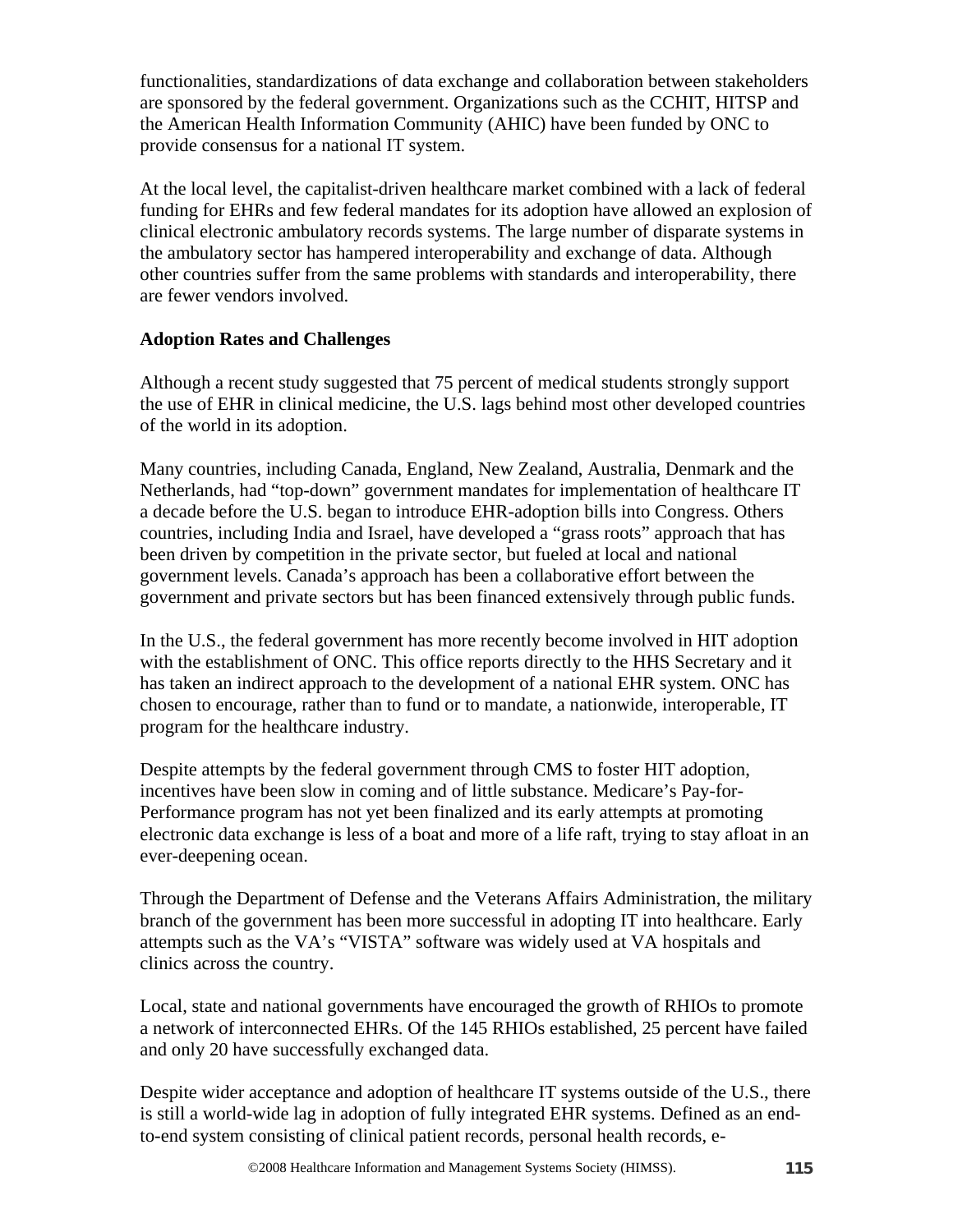functionalities, standardizations of data exchange and collaboration between stakeholders are sponsored by the federal government. Organizations such as the CCHIT, HITSP and the American Health Information Community (AHIC) have been funded by ONC to provide consensus for a national IT system.

At the local level, the capitalist-driven healthcare market combined with a lack of federal funding for EHRs and few federal mandates for its adoption have allowed an explosion of clinical electronic ambulatory records systems. The large number of disparate systems in the ambulatory sector has hampered interoperability and exchange of data. Although other countries suffer from the same problems with standards and interoperability, there are fewer vendors involved.

# **Adoption Rates and Challenges**

Although a recent study suggested that 75 percent of medical students strongly support the use of EHR in clinical medicine, the U.S. lags behind most other developed countries of the world in its adoption.

Many countries, including Canada, England, New Zealand, Australia, Denmark and the Netherlands, had "top-down" government mandates for implementation of healthcare IT a decade before the U.S. began to introduce EHR-adoption bills into Congress. Others countries, including India and Israel, have developed a "grass roots" approach that has been driven by competition in the private sector, but fueled at local and national government levels. Canada's approach has been a collaborative effort between the government and private sectors but has been financed extensively through public funds.

In the U.S., the federal government has more recently become involved in HIT adoption with the establishment of ONC. This office reports directly to the HHS Secretary and it has taken an indirect approach to the development of a national EHR system. ONC has chosen to encourage, rather than to fund or to mandate, a nationwide, interoperable, IT program for the healthcare industry.

Despite attempts by the federal government through CMS to foster HIT adoption, incentives have been slow in coming and of little substance. Medicare's Pay-for-Performance program has not yet been finalized and its early attempts at promoting electronic data exchange is less of a boat and more of a life raft, trying to stay afloat in an ever-deepening ocean.

Through the Department of Defense and the Veterans Affairs Administration, the military branch of the government has been more successful in adopting IT into healthcare. Early attempts such as the VA's "VISTA" software was widely used at VA hospitals and clinics across the country.

Local, state and national governments have encouraged the growth of RHIOs to promote a network of interconnected EHRs. Of the 145 RHIOs established, 25 percent have failed and only 20 have successfully exchanged data.

Despite wider acceptance and adoption of healthcare IT systems outside of the U.S., there is still a world-wide lag in adoption of fully integrated EHR systems. Defined as an endto-end system consisting of clinical patient records, personal health records, e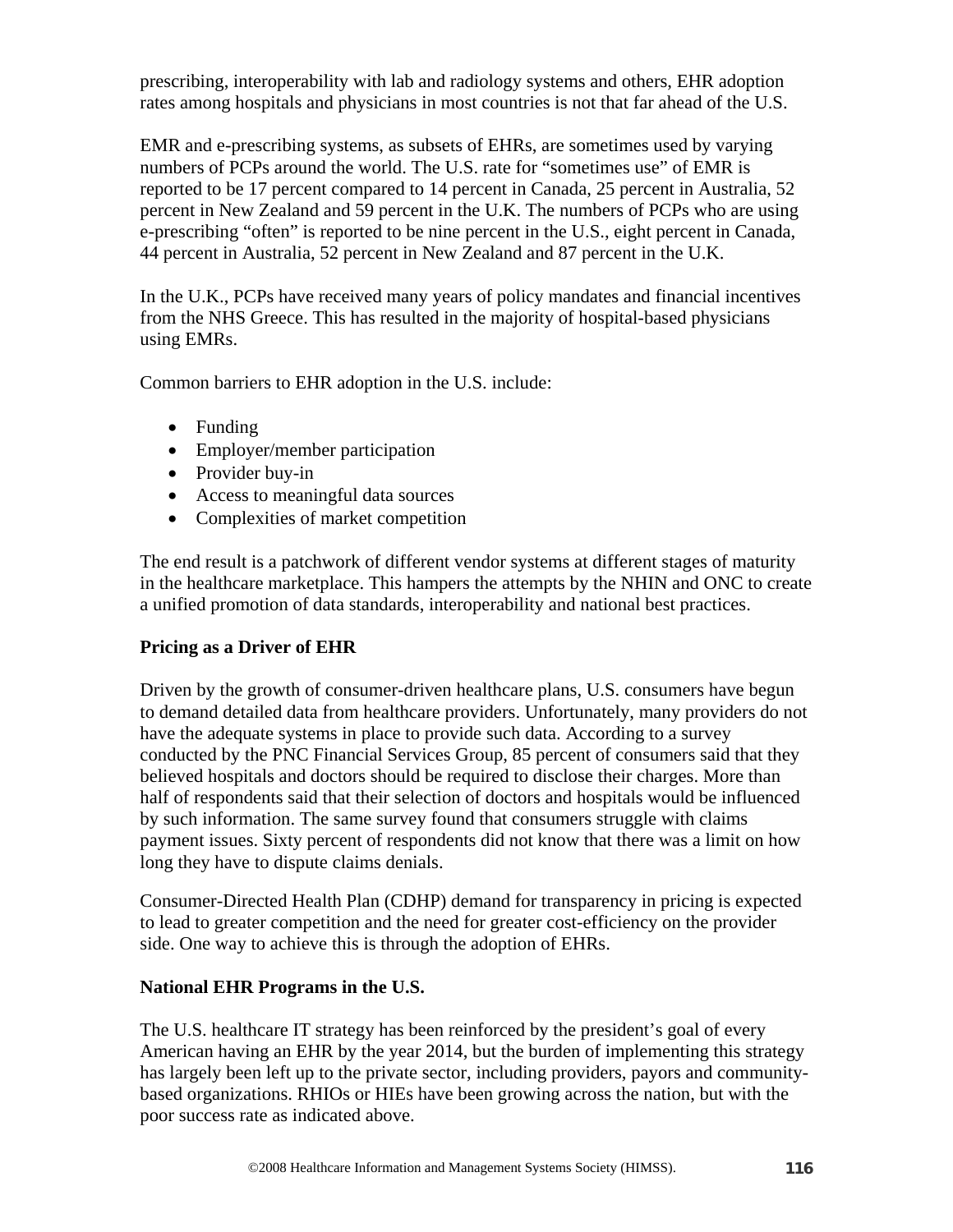prescribing, interoperability with lab and radiology systems and others, EHR adoption rates among hospitals and physicians in most countries is not that far ahead of the U.S.

EMR and e-prescribing systems, as subsets of EHRs, are sometimes used by varying numbers of PCPs around the world. The U.S. rate for "sometimes use" of EMR is reported to be 17 percent compared to 14 percent in Canada, 25 percent in Australia, 52 percent in New Zealand and 59 percent in the U.K. The numbers of PCPs who are using e-prescribing "often" is reported to be nine percent in the U.S., eight percent in Canada, 44 percent in Australia, 52 percent in New Zealand and 87 percent in the U.K.

In the U.K., PCPs have received many years of policy mandates and financial incentives from the NHS Greece. This has resulted in the majority of hospital-based physicians using EMRs.

Common barriers to EHR adoption in the U.S. include:

- Funding
- Employer/member participation
- Provider buy-in
- Access to meaningful data sources
- Complexities of market competition

The end result is a patchwork of different vendor systems at different stages of maturity in the healthcare marketplace. This hampers the attempts by the NHIN and ONC to create a unified promotion of data standards, interoperability and national best practices.

# **Pricing as a Driver of EHR**

Driven by the growth of consumer-driven healthcare plans, U.S. consumers have begun to demand detailed data from healthcare providers. Unfortunately, many providers do not have the adequate systems in place to provide such data. According to a survey conducted by the PNC Financial Services Group, 85 percent of consumers said that they believed hospitals and doctors should be required to disclose their charges. More than half of respondents said that their selection of doctors and hospitals would be influenced by such information. The same survey found that consumers struggle with claims payment issues. Sixty percent of respondents did not know that there was a limit on how long they have to dispute claims denials.

Consumer-Directed Health Plan (CDHP) demand for transparency in pricing is expected to lead to greater competition and the need for greater cost-efficiency on the provider side. One way to achieve this is through the adoption of EHRs.

#### **National EHR Programs in the U.S.**

The U.S. healthcare IT strategy has been reinforced by the president's goal of every American having an EHR by the year 2014, but the burden of implementing this strategy has largely been left up to the private sector, including providers, payors and communitybased organizations. RHIOs or HIEs have been growing across the nation, but with the poor success rate as indicated above.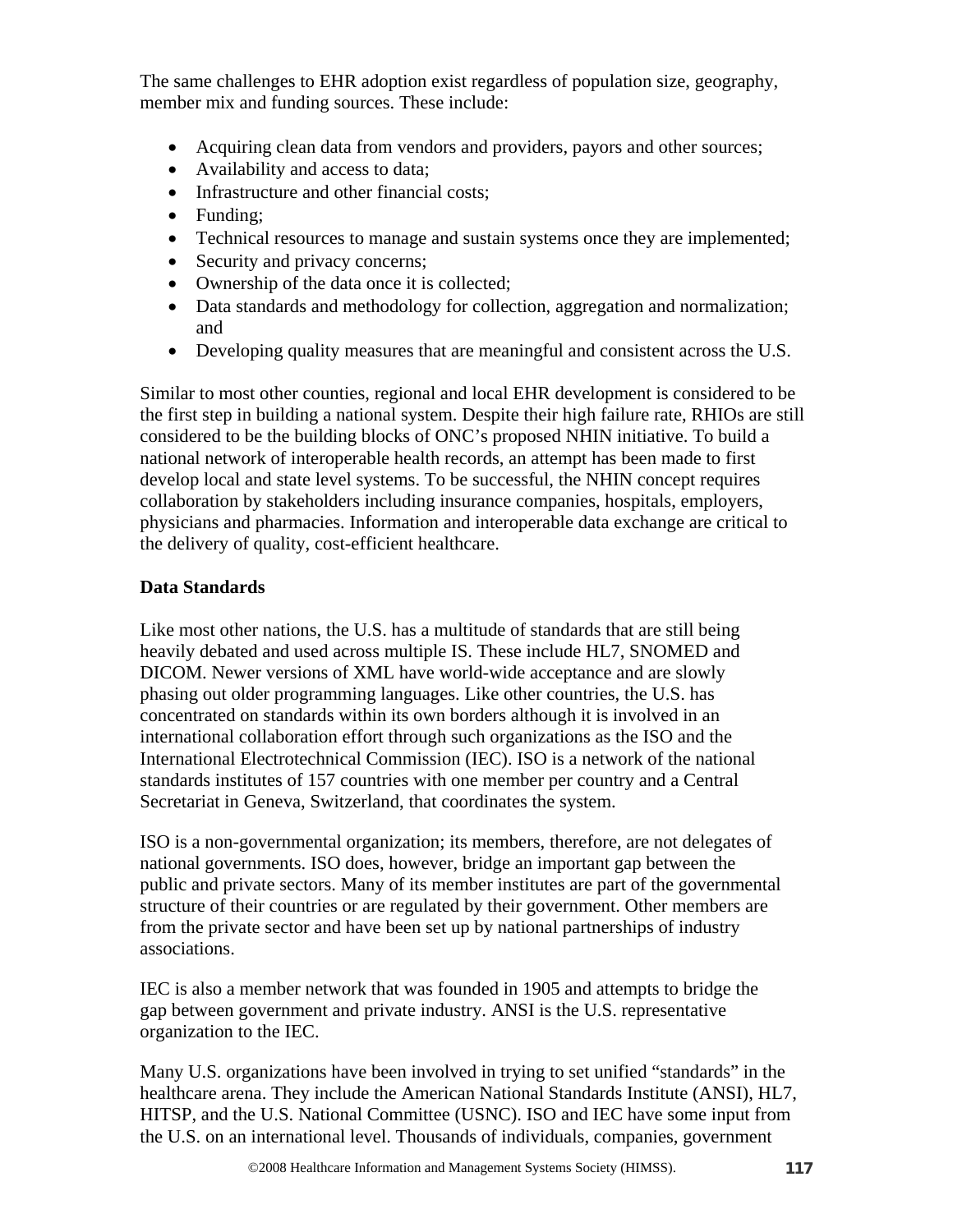The same challenges to EHR adoption exist regardless of population size, geography, member mix and funding sources. These include:

- Acquiring clean data from vendors and providers, payors and other sources;
- Availability and access to data;
- Infrastructure and other financial costs:
- Funding:
- Technical resources to manage and sustain systems once they are implemented;
- Security and privacy concerns;
- Ownership of the data once it is collected;
- Data standards and methodology for collection, aggregation and normalization; and
- Developing quality measures that are meaningful and consistent across the U.S.

Similar to most other counties, regional and local EHR development is considered to be the first step in building a national system. Despite their high failure rate, RHIOs are still considered to be the building blocks of ONC's proposed NHIN initiative. To build a national network of interoperable health records, an attempt has been made to first develop local and state level systems. To be successful, the NHIN concept requires collaboration by stakeholders including insurance companies, hospitals, employers, physicians and pharmacies. Information and interoperable data exchange are critical to the delivery of quality, cost-efficient healthcare.

# **Data Standards**

Like most other nations, the U.S. has a multitude of standards that are still being heavily debated and used across multiple IS. These include HL7, SNOMED and DICOM. Newer versions of XML have world-wide acceptance and are slowly phasing out older programming languages. Like other countries, the U.S. has concentrated on standards within its own borders although it is involved in an international collaboration effort through such organizations as the ISO and the International Electrotechnical Commission (IEC). ISO is a network of the national standards institutes of 157 countries with one member per country and a Central Secretariat in Geneva, Switzerland, that coordinates the system.

ISO is a non-governmental organization; its members, therefore, are not delegates of national governments. ISO does, however, bridge an important gap between the public and private sectors. Many of its member institutes are part of the governmental structure of their countries or are regulated by their government. Other members are from the private sector and have been set up by national partnerships of industry associations.

IEC is also a member network that was founded in 1905 and attempts to bridge the gap between government and private industry. ANSI is the U.S. representative organization to the IEC.

Many U.S. organizations have been involved in trying to set unified "standards" in the healthcare arena. They include the American National Standards Institute (ANSI), HL7, HITSP, and the U.S. National Committee (USNC). ISO and IEC have some input from the U.S. on an international level. Thousands of individuals, companies, government